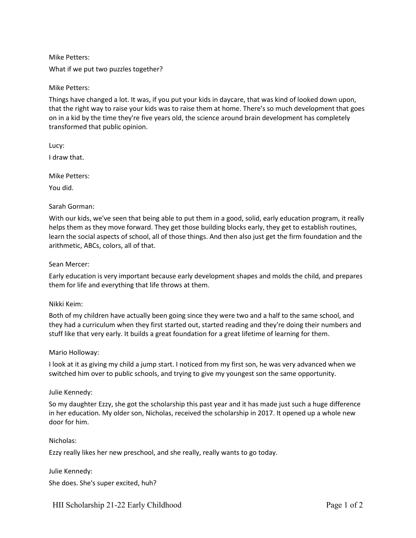Mike Petters: What if we put two puzzles together?

Mike Petters:

Things have changed a lot. It was, if you put your kids in daycare, that was kind of looked down upon, that the right way to raise your kids was to raise them at home. There's so much development that goes on in a kid by the time they're five years old, the science around brain development has completely transformed that public opinion.

Lucy:

I draw that.

Mike Petters:

You did.

### Sarah Gorman:

With our kids, we've seen that being able to put them in a good, solid, early education program, it really helps them as they move forward. They get those building blocks early, they get to establish routines, learn the social aspects of school, all of those things. And then also just get the firm foundation and the arithmetic, ABCs, colors, all of that.

### Sean Mercer:

Early education is very important because early development shapes and molds the child, and prepares them for life and everything that life throws at them.

#### Nikki Keim:

Both of my children have actually been going since they were two and a half to the same school, and they had a curriculum when they first started out, started reading and they're doing their numbers and stuff like that very early. It builds a great foundation for a great lifetime of learning for them.

#### Mario Holloway:

I look at it as giving my child a jump start. I noticed from my first son, he was very advanced when we switched him over to public schools, and trying to give my youngest son the same opportunity.

#### Julie Kennedy:

So my daughter Ezzy, she got the scholarship this past year and it has made just such a huge difference in her education. My older son, Nicholas, received the scholarship in 2017. It opened up a whole new door for him.

### Nicholas:

Ezzy really likes her new preschool, and she really, really wants to go today.

Julie Kennedy: She does. She's super excited, huh?

HII Scholarship 21-22 Early Childhood Page 1 of 2